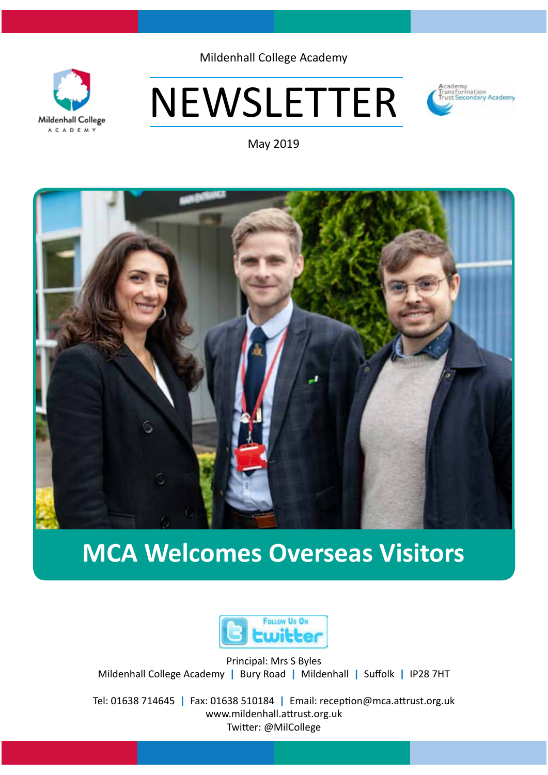

Mildenhall College Academy

# NEWSLETTER



May 2019



# **MCA Welcomes Overseas Visitors**



Principal: Mrs S Byles Mildenhall College Academy **|** Bury Road **|** Mildenhall **|** Suffolk **|** IP28 7HT

Tel: 01638 714645 **|** Fax: 01638 510184 **|** Email: reception@mca.attrust.org.uk www.mildenhall.attrust.org.uk Twitter: @MilCollege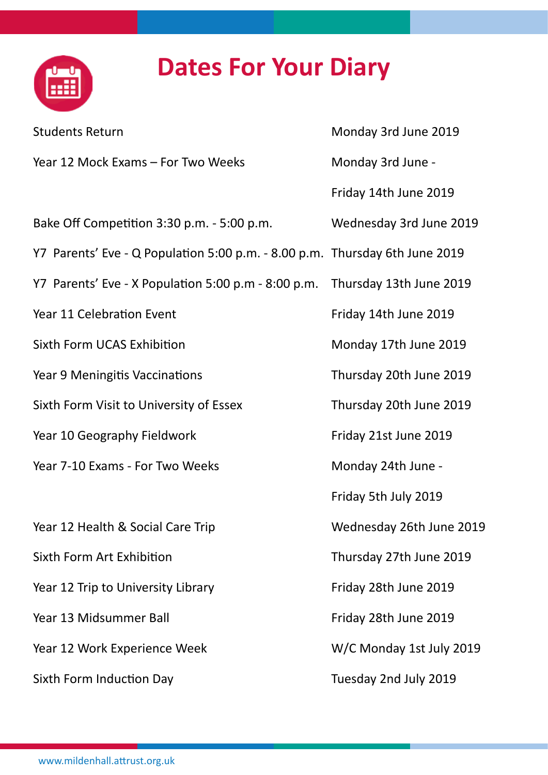# **Dates For Your Diary**

| <b>Students Return</b>                                                      | Monday 3rd June 2019     |
|-----------------------------------------------------------------------------|--------------------------|
| Year 12 Mock Exams - For Two Weeks                                          | Monday 3rd June -        |
|                                                                             | Friday 14th June 2019    |
| Bake Off Competition 3:30 p.m. - 5:00 p.m.                                  | Wednesday 3rd June 2019  |
| Y7 Parents' Eve - Q Population 5:00 p.m. - 8.00 p.m. Thursday 6th June 2019 |                          |
| Y7 Parents' Eve - X Population 5:00 p.m - 8:00 p.m. Thursday 13th June 2019 |                          |
| Year 11 Celebration Event                                                   | Friday 14th June 2019    |
| <b>Sixth Form UCAS Exhibition</b>                                           | Monday 17th June 2019    |
| Year 9 Meningitis Vaccinations                                              | Thursday 20th June 2019  |
| Sixth Form Visit to University of Essex                                     | Thursday 20th June 2019  |
| Year 10 Geography Fieldwork                                                 | Friday 21st June 2019    |
| Year 7-10 Exams - For Two Weeks                                             | Monday 24th June -       |
|                                                                             | Friday 5th July 2019     |
| Year 12 Health & Social Care Trip                                           | Wednesday 26th June 2019 |
| Sixth Form Art Exhibition                                                   | Thursday 27th June 2019  |
| Year 12 Trip to University Library                                          | Friday 28th June 2019    |
| Year 13 Midsummer Ball                                                      | Friday 28th June 2019    |
| Year 12 Work Experience Week                                                | W/C Monday 1st July 2019 |
| Sixth Form Induction Day                                                    | Tuesday 2nd July 2019    |

<u>the</u>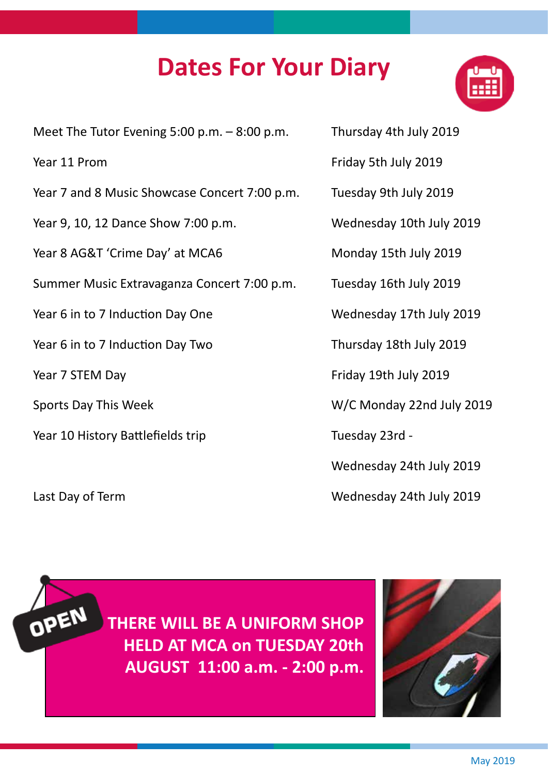## **Dates For Your Diary**



Meet The Tutor Evening 5:00 p.m.  $-8:00$  p.m. Thursday 4th July 2019

- Year 7 and 8 Music Showcase Concert 7:00 p.m. Tuesday 9th July 2019
- Year 9, 10, 12 Dance Show 7:00 p.m. Wednesday 10th July 2019

Year 8 AG&T 'Crime Day' at MCA6 Monday 15th July 2019

Summer Music Extravaganza Concert 7:00 p.m. Tuesday 16th July 2019

Year 6 in to 7 Induction Day One Wednesday 17th July 2019

Year 6 in to 7 Induction Day Two Thursday 18th July 2019

- 
- Year 10 History Battlefields trip Tuesday 23rd -

OPEN

- Year 11 Prom Friday 5th July 2019
	-
	-
	-
	-
	-
	-
- Year 7 STEM Day **Friday 19th July 2019**
- Sports Day This Week W/C Monday 22nd July 2019
	-
	- Wednesday 24th July 2019
- Last Day of Term Wednesday 24th July 2019

**THERE WILL BE A UNIFORM SHOP HELD AT MCA on TUESDAY 20th AUGUST 11:00 a.m. - 2:00 p.m.**

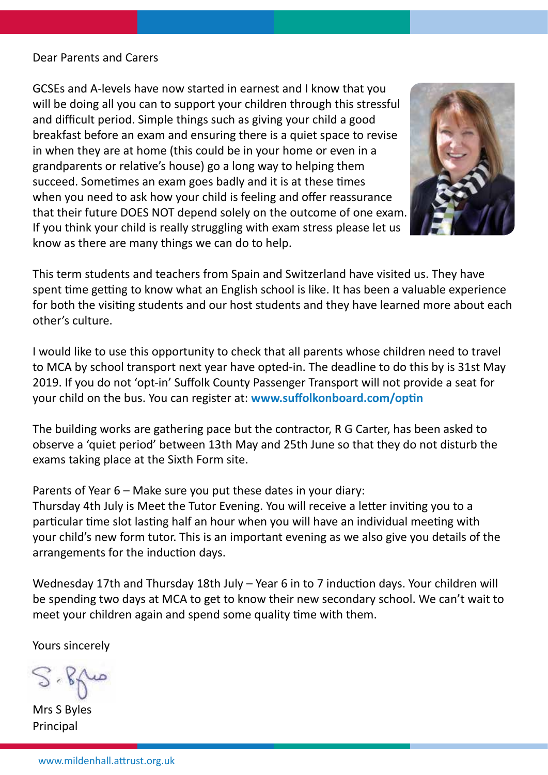#### Dear Parents and Carers

GCSEs and A-levels have now started in earnest and I know that you will be doing all you can to support your children through this stressful and difficult period. Simple things such as giving your child a good breakfast before an exam and ensuring there is a quiet space to revise in when they are at home (this could be in your home or even in a grandparents or relative's house) go a long way to helping them succeed. Sometimes an exam goes badly and it is at these times when you need to ask how your child is feeling and offer reassurance that their future DOES NOT depend solely on the outcome of one exam. If you think your child is really struggling with exam stress please let us know as there are many things we can do to help.



This term students and teachers from Spain and Switzerland have visited us. They have spent time getting to know what an English school is like. It has been a valuable experience for both the visiting students and our host students and they have learned more about each other's culture.

I would like to use this opportunity to check that all parents whose children need to travel to MCA by school transport next year have opted-in. The deadline to do this by is 31st May 2019. If you do not 'opt-in' Suffolk County Passenger Transport will not provide a seat for your child on the bus. You can register at: **www.suffolkonboard.com/optin**

The building works are gathering pace but the contractor, R G Carter, has been asked to observe a 'quiet period' between 13th May and 25th June so that they do not disturb the exams taking place at the Sixth Form site.

Parents of Year 6 – Make sure you put these dates in your diary:

Thursday 4th July is Meet the Tutor Evening. You will receive a letter inviting you to a particular time slot lasting half an hour when you will have an individual meeting with your child's new form tutor. This is an important evening as we also give you details of the arrangements for the induction days.

Wednesday 17th and Thursday 18th July – Year 6 in to 7 induction days. Your children will be spending two days at MCA to get to know their new secondary school. We can't wait to meet your children again and spend some quality time with them.

Yours sincerely

 $864$ 

Mrs S Byles Principal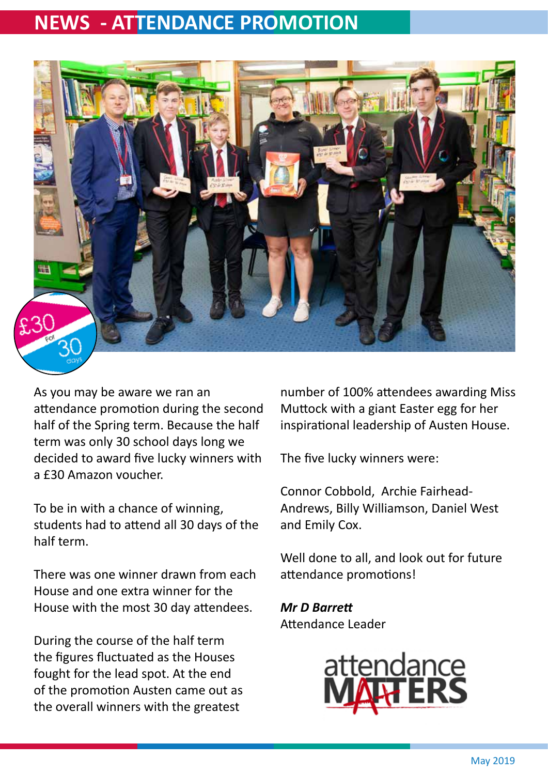### **NEWS - ATTENDANCE PROMOTION**



As you may be aware we ran an attendance promotion during the second half of the Spring term. Because the half term was only 30 school days long we decided to award five lucky winners with a £30 Amazon voucher.

To be in with a chance of winning, students had to attend all 30 days of the half term.

There was one winner drawn from each House and one extra winner for the House with the most 30 day attendees.

During the course of the half term the figures fluctuated as the Houses fought for the lead spot. At the end of the promotion Austen came out as the overall winners with the greatest

number of 100% attendees awarding Miss Muttock with a giant Easter egg for her inspirational leadership of Austen House.

The five lucky winners were:

Connor Cobbold, Archie Fairhead-Andrews, Billy Williamson, Daniel West and Emily Cox.

Well done to all, and look out for future attendance promotions!

*Mr D Barrett* Attendance Leader

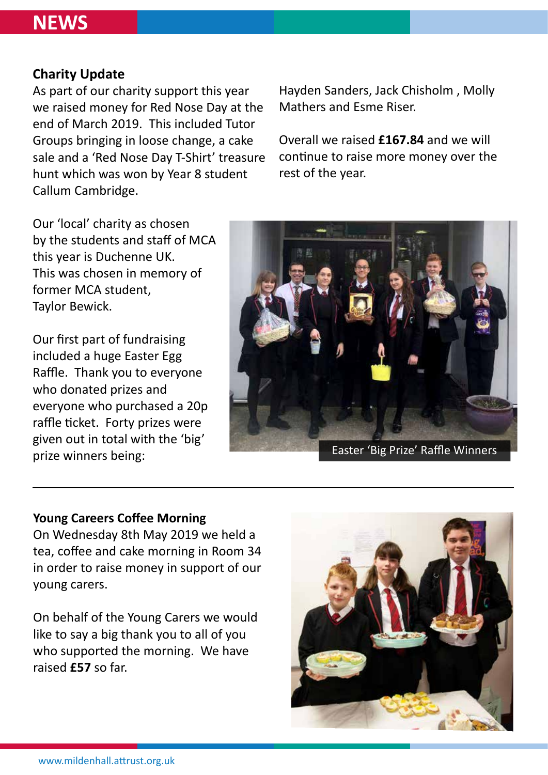### **NEWS**

### **Charity Update**

As part of our charity support this year we raised money for Red Nose Day at the end of March 2019. This included Tutor Groups bringing in loose change, a cake sale and a 'Red Nose Day T-Shirt' treasure hunt which was won by Year 8 student Callum Cambridge.

Hayden Sanders, Jack Chisholm , Molly Mathers and Esme Riser.

Overall we raised **£167.84** and we will continue to raise more money over the rest of the year.

Our 'local' charity as chosen by the students and staff of MCA this year is Duchenne UK. This was chosen in memory of former MCA student, Taylor Bewick.

Our first part of fundraising included a huge Easter Egg Raffle. Thank you to everyone who donated prizes and everyone who purchased a 20p raffle ticket. Forty prizes were given out in total with the 'big' prize winners being:



Easter 'Big Prize' Raffle Winners

#### **Young Careers Coffee Morning**

On Wednesday 8th May 2019 we held a tea, coffee and cake morning in Room 34 in order to raise money in support of our young carers.

On behalf of the Young Carers we would like to say a big thank you to all of you who supported the morning. We have raised **£57** so far.

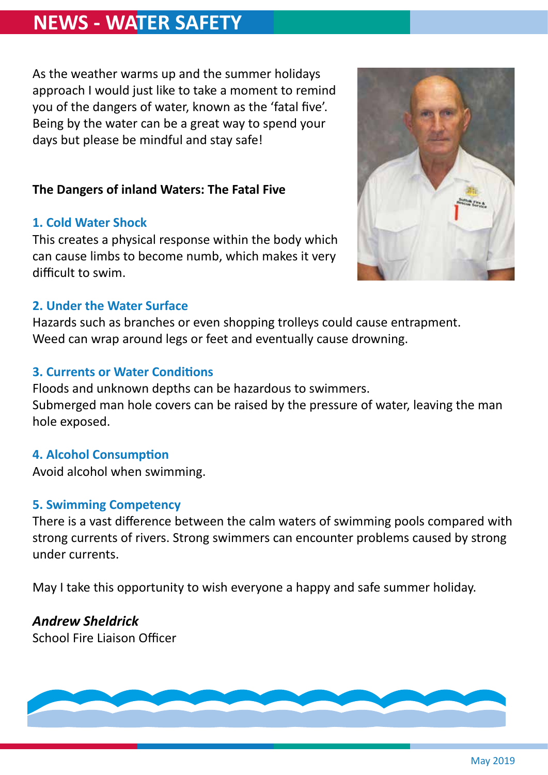### **NEWS - WATER SAFETY**

As the weather warms up and the summer holidays approach I would just like to take a moment to remind you of the dangers of water, known as the 'fatal five'. Being by the water can be a great way to spend your days but please be mindful and stay safe!

### **The Dangers of inland Waters: The Fatal Five**

### **1. Cold Water Shock**

This creates a physical response within the body which can cause limbs to become numb, which makes it very difficult to swim.



#### **2. Under the Water Surface**

Hazards such as branches or even shopping trolleys could cause entrapment. Weed can wrap around legs or feet and eventually cause drowning.

### **3. Currents or Water Conditions**

Floods and unknown depths can be hazardous to swimmers. Submerged man hole covers can be raised by the pressure of water, leaving the man hole exposed.

### **4. Alcohol Consumption**

Avoid alcohol when swimming.

### **5. Swimming Competency**

There is a vast difference between the calm waters of swimming pools compared with strong currents of rivers. Strong swimmers can encounter problems caused by strong under currents.

May I take this opportunity to wish everyone a happy and safe summer holiday.

### *Andrew Sheldrick*

School Fire Liaison Officer

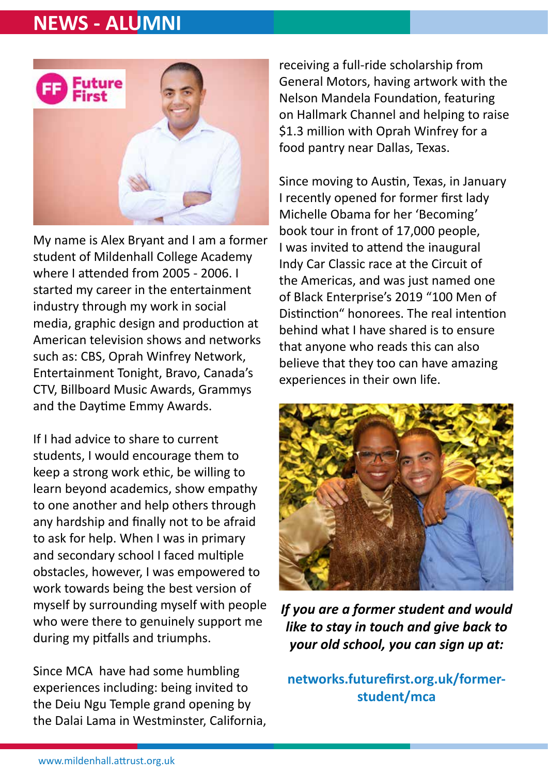### **NEWS - ALUMNI**



My name is Alex Bryant and I am a former student of Mildenhall College Academy where I attended from 2005 - 2006. I started my career in the entertainment industry through my work in social media, graphic design and production at American television shows and networks such as: CBS, Oprah Winfrey Network, Entertainment Tonight, Bravo, Canada's CTV, Billboard Music Awards, Grammys and the Daytime Emmy Awards.

If I had advice to share to current students, I would encourage them to keep a strong work ethic, be willing to learn beyond academics, show empathy to one another and help others through any hardship and finally not to be afraid to ask for help. When I was in primary and secondary school I faced multiple obstacles, however, I was empowered to work towards being the best version of myself by surrounding myself with people who were there to genuinely support me during my pitfalls and triumphs.

Since MCA have had some humbling experiences including: being invited to the Deiu Ngu Temple grand opening by the Dalai Lama in Westminster, California,

receiving a full-ride scholarship from General Motors, having artwork with the Nelson Mandela Foundation, featuring on Hallmark Channel and helping to raise \$1.3 million with Oprah Winfrey for a food pantry near Dallas, Texas.

Since moving to Austin, Texas, in January I recently opened for former first lady Michelle Obama for her 'Becoming' book tour in front of 17,000 people, I was invited to attend the inaugural Indy Car Classic race at the Circuit of the Americas, and was just named one of Black Enterprise's 2019 "100 Men of Distinction" honorees. The real intention behind what I have shared is to ensure that anyone who reads this can also believe that they too can have amazing experiences in their own life.



*If you are a former student and would like to stay in touch and give back to your old school, you can sign up at:*

**networks.futurefirst.org.uk/formerstudent/mca**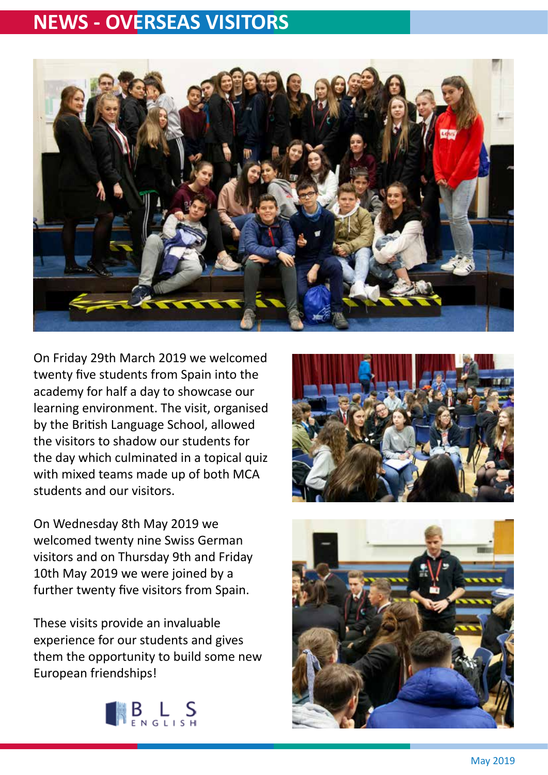### **NEWS - OVERSEAS VISITORS**



On Friday 29th March 2019 we welcomed twenty five students from Spain into the academy for half a day to showcase our learning environment. The visit, organised by the British Language School, allowed the visitors to shadow our students for the day which culminated in a topical quiz with mixed teams made up of both MCA students and our visitors.

On Wednesday 8th May 2019 we welcomed twenty nine Swiss German visitors and on Thursday 9th and Friday 10th May 2019 we were joined by a further twenty five visitors from Spain.

These visits provide an invaluable experience for our students and gives them the opportunity to build some new European friendships!





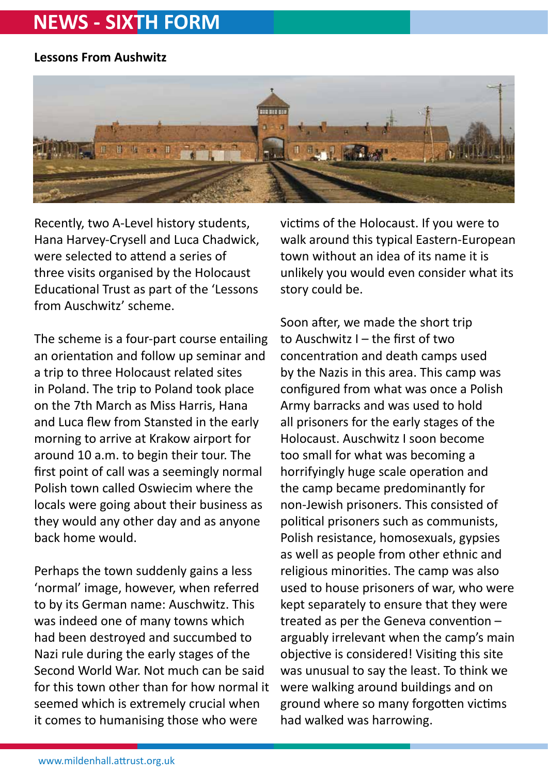### **NEWS - SIXTH FORM**

### **Lessons From Aushwitz**



Recently, two A-Level history students, Hana Harvey-Crysell and Luca Chadwick, were selected to attend a series of three visits organised by the Holocaust Educational Trust as part of the 'Lessons from Auschwitz' scheme.

The scheme is a four-part course entailing an orientation and follow up seminar and a trip to three Holocaust related sites in Poland. The trip to Poland took place on the 7th March as Miss Harris, Hana and Luca flew from Stansted in the early morning to arrive at Krakow airport for around 10 a.m. to begin their tour. The first point of call was a seemingly normal Polish town called Oswiecim where the locals were going about their business as they would any other day and as anyone back home would.

Perhaps the town suddenly gains a less 'normal' image, however, when referred to by its German name: Auschwitz. This was indeed one of many towns which had been destroyed and succumbed to Nazi rule during the early stages of the Second World War. Not much can be said for this town other than for how normal it seemed which is extremely crucial when it comes to humanising those who were

victims of the Holocaust. If you were to walk around this typical Eastern-European town without an idea of its name it is unlikely you would even consider what its story could be.

Soon after, we made the short trip to Auschwitz I – the first of two concentration and death camps used by the Nazis in this area. This camp was configured from what was once a Polish Army barracks and was used to hold all prisoners for the early stages of the Holocaust. Auschwitz I soon become too small for what was becoming a horrifyingly huge scale operation and the camp became predominantly for non-Jewish prisoners. This consisted of political prisoners such as communists, Polish resistance, homosexuals, gypsies as well as people from other ethnic and religious minorities. The camp was also used to house prisoners of war, who were kept separately to ensure that they were treated as per the Geneva convention – arguably irrelevant when the camp's main objective is considered! Visiting this site was unusual to say the least. To think we were walking around buildings and on ground where so many forgotten victims had walked was harrowing.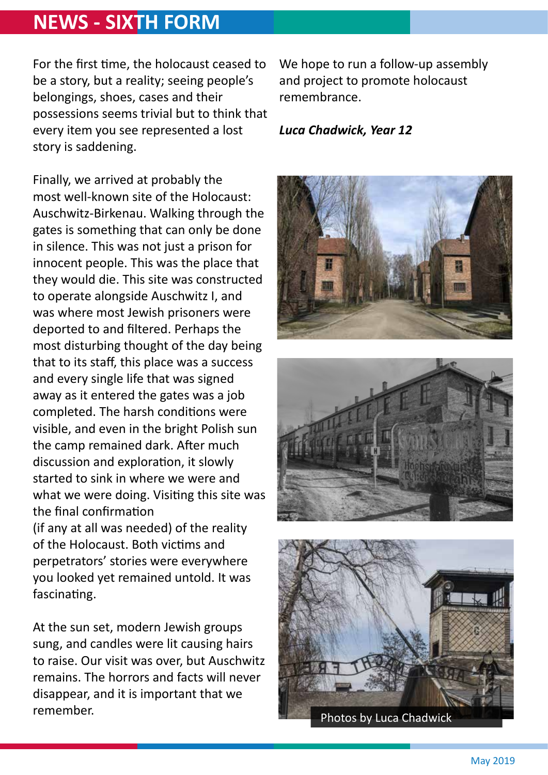### **NEWS - SIXTH FORM**

For the first time, the holocaust ceased to be a story, but a reality; seeing people's belongings, shoes, cases and their possessions seems trivial but to think that every item you see represented a lost story is saddening.

Finally, we arrived at probably the most well-known site of the Holocaust: Auschwitz-Birkenau. Walking through the gates is something that can only be done in silence. This was not just a prison for innocent people. This was the place that they would die. This site was constructed to operate alongside Auschwitz I, and was where most Jewish prisoners were deported to and filtered. Perhaps the most disturbing thought of the day being that to its staff, this place was a success and every single life that was signed away as it entered the gates was a job completed. The harsh conditions were visible, and even in the bright Polish sun the camp remained dark. After much discussion and exploration, it slowly started to sink in where we were and what we were doing. Visiting this site was the final confirmation (if any at all was needed) of the reality of the Holocaust. Both victims and perpetrators' stories were everywhere you looked yet remained untold. It was fascinating.

At the sun set, modern Jewish groups sung, and candles were lit causing hairs to raise. Our visit was over, but Auschwitz remains. The horrors and facts will never disappear, and it is important that we remember.

We hope to run a follow-up assembly and project to promote holocaust remembrance.

#### *Luca Chadwick, Year 12*





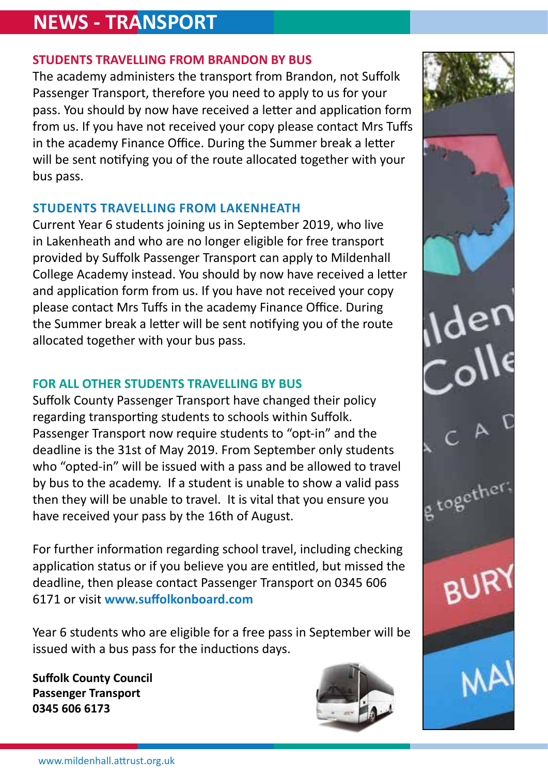### **NEWS - TRANSPORT**

### **STUDENTS TRAVELLING FROM BRANDON BY BUS**

The academy administers the transport from Brandon, not Suffolk Passenger Transport, therefore you need to apply to us for your pass. You should by now have received a letter and application form from us. If you have not received your copy please contact Mrs Tuffs in the academy Finance Office. During the Summer break a letter will be sent notifying you of the route allocated together with your bus pass.

### **STUDENTS TRAVELLING FROM LAKENHEATH**

Current Year 6 students joining us in September 2019, who live in Lakenheath and who are no longer eligible for free transport provided by Suffolk Passenger Transport can apply to Mildenhall College Academy instead. You should by now have received a letter and application form from us. If you have not received your copy please contact Mrs Tuffs in the academy Finance Office. During the Summer break a letter will be sent notifying you of the route allocated together with your bus pass.

### **FOR ALL OTHER STUDENTS TRAVELLING BY BUS**

Suffolk County Passenger Transport have changed their policy regarding transporting students to schools within Suffolk. Passenger Transport now require students to "opt-in" and the deadline is the 31st of May 2019. From September only students who "opted-in" will be issued with a pass and be allowed to travel by bus to the academy. If a student is unable to show a valid pass then they will be unable to travel. It is vital that you ensure you have received your pass by the 16th of August.

For further information regarding school travel, including checking application status or if you believe you are entitled, but missed the deadline, then please contact Passenger Transport on 0345 606 6171 or visit **www.suffolkonboard.com** 

Year 6 students who are eligible for a free pass in September will be issued with a bus pass for the inductions days.

**Suffolk County Council Passenger Transport 0345 606 6173**



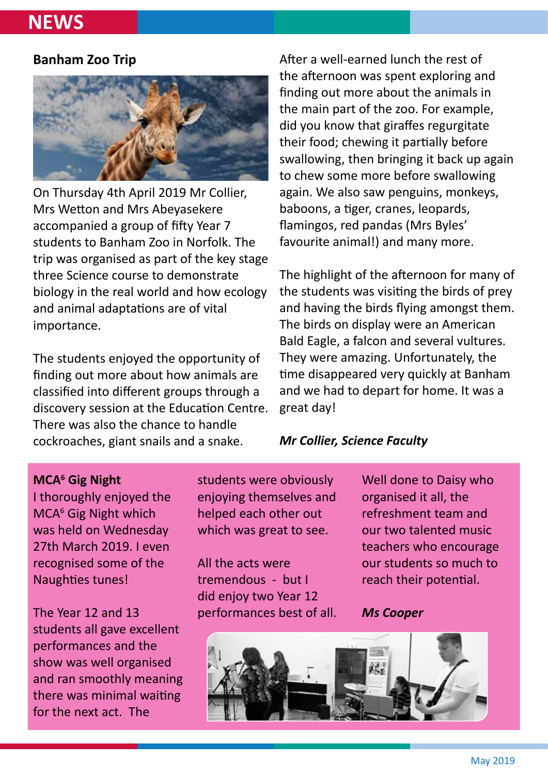### **NEWS**

#### **Banham Zoo Trip**



On Thursday 4th April 2019 Mr Collier, Mrs Wetton and Mrs Abeyasekere accompanied a group of fifty Year 7 students to Banham Zoo in Norfolk. The trip was organised as part of the key stage three Science course to demonstrate biology in the real world and how ecology and animal adaptations are of vital importance.

The students enjoyed the opportunity of finding out more about how animals are classified into different groups through a discovery session at the Education Centre. There was also the chance to handle cockroaches, giant snails and a snake.

After a well-earned lunch the rest of the afternoon was spent exploring and finding out more about the animals in the main part of the zoo. For example, did you know that giraffes regurgitate their food; chewing it partially before swallowing, then bringing it back up again to chew some more before swallowing again. We also saw penguins, monkeys, baboons, a tiger, cranes, leopards, flamingos, red pandas (Mrs Byles' favourite animal!) and many more.

The highlight of the afternoon for many of the students was visiting the birds of prey and having the birds flying amongst them. The birds on display were an American Bald Eagle, a falcon and several vultures. They were amazing. Unfortunately, the time disappeared very quickly at Banham and we had to depart for home. It was a great day!

#### *Mr Collier, Science Faculty*

#### **MCA6 Gig Night**

I thoroughly enjoyed the MCA<sup>6</sup> Gig Night which was held on Wednesday 27th March 2019. I even recognised some of the Naughties tunes!

The Year 12 and 13 students all gave excellent performances and the show was well organised and ran smoothly meaning there was minimal waiting for the next act. The

students were obviously enjoying themselves and helped each other out which was great to see.

All the acts were tremendous - but I did enjoy two Year 12 performances best of all. Well done to Daisy who organised it all, the refreshment team and our two talented music teachers who encourage our students so much to reach their potential.

#### *Ms Cooper*

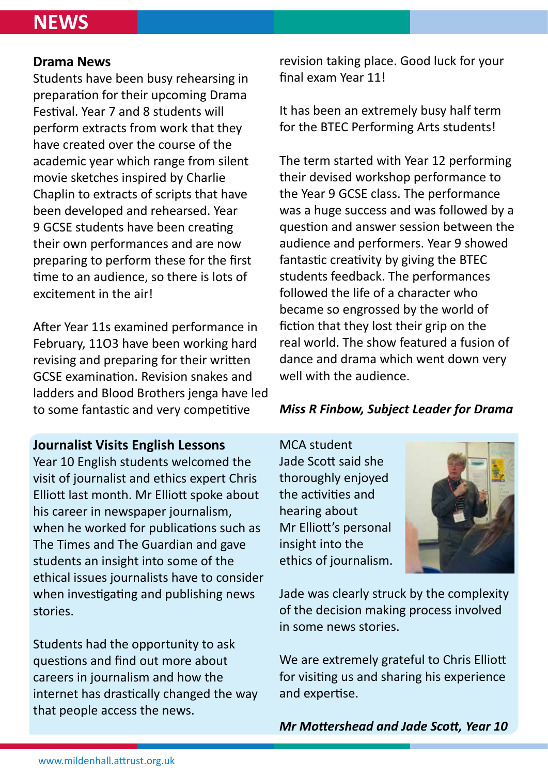### **NEWS**

#### **Drama News**

Students have been busy rehearsing in preparation for their upcoming Drama Festival. Year 7 and 8 students will perform extracts from work that they have created over the course of the academic year which range from silent movie sketches inspired by Charlie Chaplin to extracts of scripts that have been developed and rehearsed. Year 9 GCSE students have been creating their own performances and are now preparing to perform these for the first time to an audience, so there is lots of excitement in the air!

After Year 11s examined performance in February, 11O3 have been working hard revising and preparing for their written GCSE examination. Revision snakes and ladders and Blood Brothers jenga have led to some fantastic and very competitive

### **Journalist Visits English Lessons**

Year 10 English students welcomed the visit of journalist and ethics expert Chris Elliott last month. Mr Elliott spoke about his career in newspaper journalism, when he worked for publications such as The Times and The Guardian and gave students an insight into some of the ethical issues journalists have to consider when investigating and publishing news stories.

Students had the opportunity to ask questions and find out more about careers in journalism and how the internet has drastically changed the way that people access the news.

revision taking place. Good luck for your final exam Year 11!

It has been an extremely busy half term for the BTEC Performing Arts students!

The term started with Year 12 performing their devised workshop performance to the Year 9 GCSE class. The performance was a huge success and was followed by a question and answer session between the audience and performers. Year 9 showed fantastic creativity by giving the BTEC students feedback. The performances followed the life of a character who became so engrossed by the world of fiction that they lost their grip on the real world. The show featured a fusion of dance and drama which went down very well with the audience.

### *Miss R Finbow, Subject Leader for Drama*

MCA student Jade Scott said she thoroughly enjoyed the activities and hearing about Mr Elliott's personal insight into the ethics of journalism.



Jade was clearly struck by the complexity of the decision making process involved in some news stories.

We are extremely grateful to Chris Elliott for visiting us and sharing his experience and expertise.

*Mr Mottershead and Jade Scott, Year 10*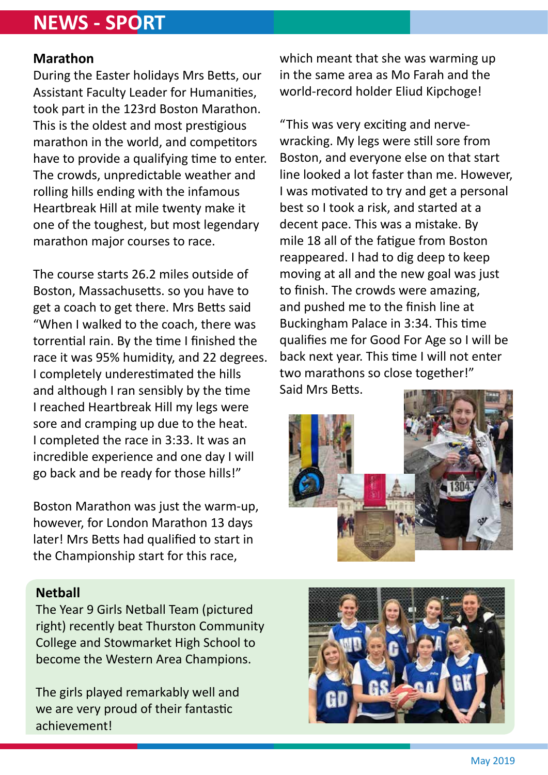### **NEWS - SPORT**

### **Marathon**

During the Easter holidays Mrs Betts, our Assistant Faculty Leader for Humanities, took part in the 123rd Boston Marathon. This is the oldest and most prestigious marathon in the world, and competitors have to provide a qualifying time to enter. The crowds, unpredictable weather and rolling hills ending with the infamous Heartbreak Hill at mile twenty make it one of the toughest, but most legendary marathon major courses to race.

The course starts 26.2 miles outside of Boston, Massachusetts. so you have to get a coach to get there. Mrs Betts said "When I walked to the coach, there was torrential rain. By the time I finished the race it was 95% humidity, and 22 degrees. I completely underestimated the hills and although I ran sensibly by the time I reached Heartbreak Hill my legs were sore and cramping up due to the heat. I completed the race in 3:33. It was an incredible experience and one day I will go back and be ready for those hills!"

Boston Marathon was just the warm-up, however, for London Marathon 13 days later! Mrs Betts had qualified to start in the Championship start for this race,

### **Netball**

The Year 9 Girls Netball Team (pictured right) recently beat Thurston Community College and Stowmarket High School to become the Western Area Champions.

The girls played remarkably well and we are very proud of their fantastic achievement!

which meant that she was warming up in the same area as Mo Farah and the world-record holder Eliud Kipchoge!

"This was very exciting and nervewracking. My legs were still sore from Boston, and everyone else on that start line looked a lot faster than me. However, I was motivated to try and get a personal best so I took a risk, and started at a decent pace. This was a mistake. By mile 18 all of the fatigue from Boston reappeared. I had to dig deep to keep moving at all and the new goal was just to finish. The crowds were amazing, and pushed me to the finish line at Buckingham Palace in 3:34. This time qualifies me for Good For Age so I will be back next year. This time I will not enter two marathons so close together!" Said Mrs Betts.